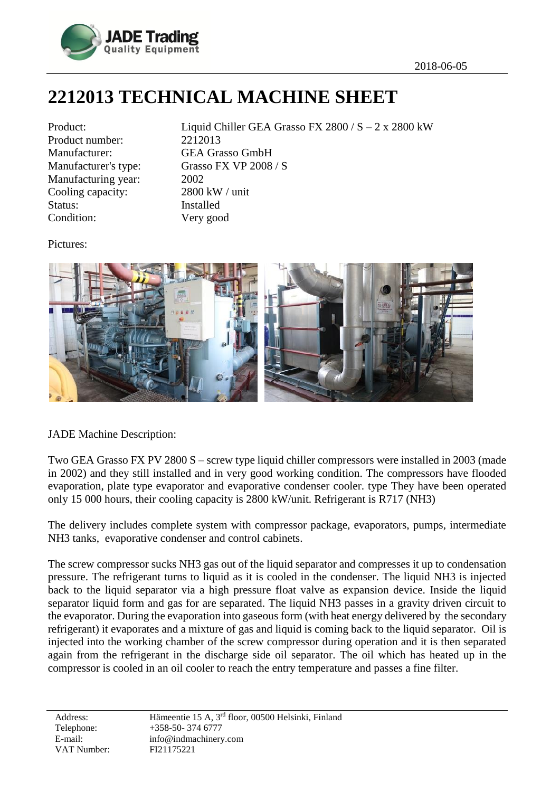

## **2212013 TECHNICAL MACHINE SHEET**

| Product:             |
|----------------------|
| Product number:      |
| Manufacturer:        |
| Manufacturer's type: |
| Manufacturing year:  |
| Cooling capacity:    |
| Status:              |
| Condition:           |

Liquid Chiller GEA Grasso FX 2800 /  $S - 2x$  2800 kW 2212013 **GEA Grasso GmbH** Grasso FX VP  $2008 / S$  $2002$  $2800$  kW / unit **Installed** Very good

Pictures:



JADE Machine Description:

Two GEA Grasso FX PV 2800 S – screw type liquid chiller compressors were installed in 2003 (made in 2002) and they still installed and in very good working condition. The compressors have flooded evaporation, plate type evaporator and evaporative condenser cooler. type They have been operated only 15 000 hours, their cooling capacity is 2800 kW/unit. Refrigerant is R717 (NH3)

The delivery includes complete system with compressor package, evaporators, pumps, intermediate NH3 tanks, evaporative condenser and control cabinets.

The screw compressor sucks NH3 gas out of the liquid separator and compresses it up to condensation pressure. The refrigerant turns to liquid as it is cooled in the condenser. The liquid NH3 is injected back to the liquid separator via a high pressure float valve as expansion device. Inside the liquid separator liquid form and gas for are separated. The liquid NH3 passes in a gravity driven circuit to the evaporator. During the evaporation into gaseous form (with heat energy delivered by the secondary refrigerant) it evaporates and a mixture of gas and liquid is coming back to the liquid separator. Oil is injected into the working chamber of the screw compressor during operation and it is then separated again from the refrigerant in the discharge side oil separator. The oil which has heated up in the compressor is cooled in an oil cooler to reach the entry temperature and passes a fine filter.